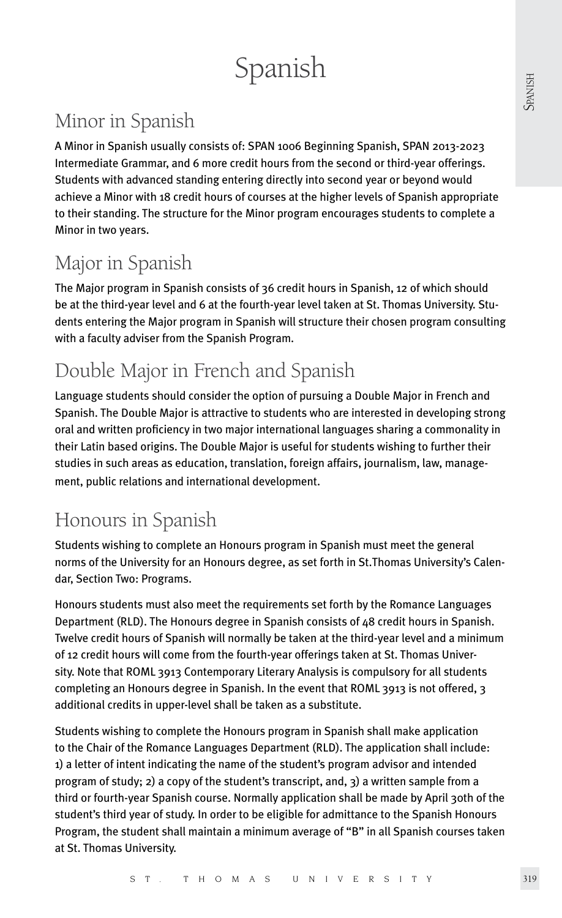# Spanish

# Minor in Spanish

A Minor in Spanish usually consists of: SPAN 1006 Beginning Spanish, SPAN 2013-2023 Intermediate Grammar, and 6 more credit hours from the second or third-year offerings. Students with advanced standing entering directly into second year or beyond would achieve a Minor with 18 credit hours of courses at the higher levels of Spanish appropriate to their standing. The structure for the Minor program encourages students to complete a Minor in two years.

# Major in Spanish

The Major program in Spanish consists of 36 credit hours in Spanish, 12 of which should be at the third-year level and 6 at the fourth-year level taken at St. Thomas University. Students entering the Major program in Spanish will structure their chosen program consulting with a faculty adviser from the Spanish Program.

# Double Major in French and Spanish

Language students should consider the option of pursuing a Double Major in French and Spanish. The Double Major is attractive to students who are interested in developing strong oral and written proficiency in two major international languages sharing a commonality in their Latin based origins. The Double Major is useful for students wishing to further their studies in such areas as education, translation, foreign affairs, journalism, law, management, public relations and international development.

# Honours in Spanish

Students wishing to complete an Honours program in Spanish must meet the general norms of the University for an Honours degree, as set forth in St.Thomas University's Calendar, Section Two: Programs.

Honours students must also meet the requirements set forth by the Romance Languages Department (RLD). The Honours degree in Spanish consists of 48 credit hours in Spanish. Twelve credit hours of Spanish will normally be taken at the third-year level and a minimum of 12 credit hours will come from the fourth-year offerings taken at St. Thomas University. Note that ROML 3913 Contemporary Literary Analysis is compulsory for all students completing an Honours degree in Spanish. In the event that ROML 3913 is not offered, 3 additional credits in upper-level shall be taken as a substitute.

Students wishing to complete the Honours program in Spanish shall make application to the Chair of the Romance Languages Department (RLD). The application shall include: 1) a letter of intent indicating the name of the student's program advisor and intended program of study; 2) a copy of the student's transcript, and, 3) a written sample from a third or fourth-year Spanish course. Normally application shall be made by April 30th of the student's third year of study. In order to be eligible for admittance to the Spanish Honours Program, the student shall maintain a minimum average of "B" in all Spanish courses taken at St. Thomas University.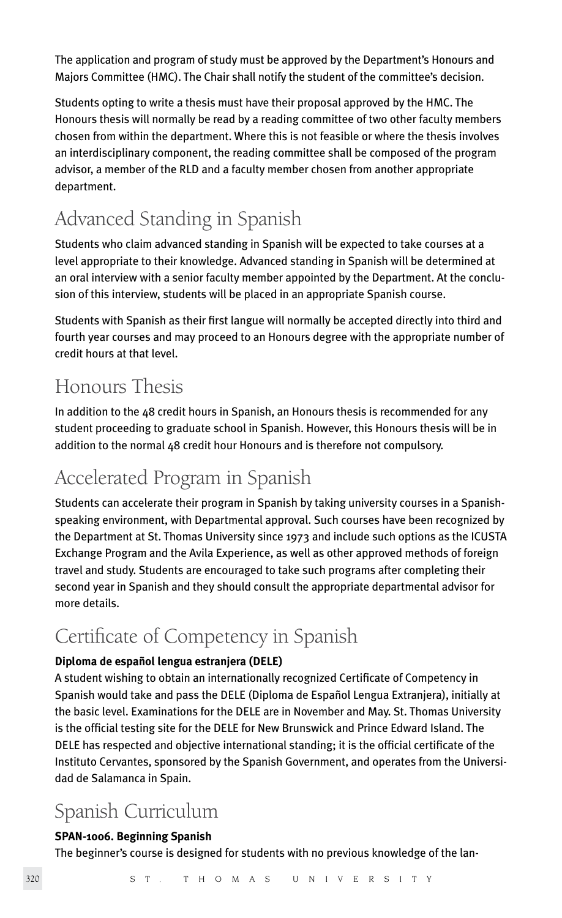The application and program of study must be approved by the Department's Honours and Majors Committee (HMC). The Chair shall notify the student of the committee's decision.

Students opting to write a thesis must have their proposal approved by the HMC. The Honours thesis will normally be read by a reading committee of two other faculty members chosen from within the department. Where this is not feasible or where the thesis involves an interdisciplinary component, the reading committee shall be composed of the program advisor, a member of the RLD and a faculty member chosen from another appropriate department.

# Advanced Standing in Spanish

Students who claim advanced standing in Spanish will be expected to take courses at a level appropriate to their knowledge. Advanced standing in Spanish will be determined at an oral interview with a senior faculty member appointed by the Department. At the conclusion of this interview, students will be placed in an appropriate Spanish course.

Students with Spanish as their first langue will normally be accepted directly into third and fourth year courses and may proceed to an Honours degree with the appropriate number of credit hours at that level.

# Honours Thesis

In addition to the 48 credit hours in Spanish, an Honours thesis is recommended for any student proceeding to graduate school in Spanish. However, this Honours thesis will be in addition to the normal 48 credit hour Honours and is therefore not compulsory.

# Accelerated Program in Spanish

Students can accelerate their program in Spanish by taking university courses in a Spanishspeaking environment, with Departmental approval. Such courses have been recognized by the Department at St. Thomas University since 1973 and include such options as the ICUSTA Exchange Program and the Avila Experience, as well as other approved methods of foreign travel and study. Students are encouraged to take such programs after completing their second year in Spanish and they should consult the appropriate departmental advisor for more details.

# Certificate of Competency in Spanish

# **Diploma de español lengua estranjera (DELE)**

A student wishing to obtain an internationally recognized Certificate of Competency in Spanish would take and pass the DELE (Diploma de Español Lengua Extranjera), initially at the basic level. Examinations for the DELE are in November and May. St. Thomas University is the official testing site for the DELE for New Brunswick and Prince Edward Island. The DELE has respected and objective international standing; it is the official certificate of the Instituto Cervantes, sponsored by the Spanish Government, and operates from the Universidad de Salamanca in Spain.

# Spanish Curriculum

# **SPAN-1006. Beginning Spanish**

The beginner's course is designed for students with no previous knowledge of the lan-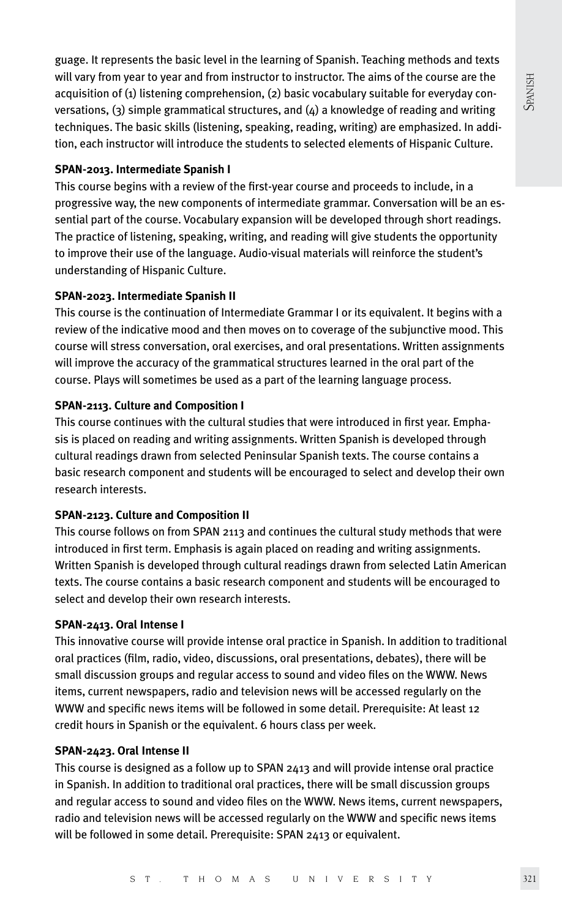guage. It represents the basic level in the learning of Spanish. Teaching methods and texts will vary from year to year and from instructor to instructor. The aims of the course are the acquisition of (1) listening comprehension, (2) basic vocabulary suitable for everyday conversations,  $(3)$  simple grammatical structures, and  $(4)$  a knowledge of reading and writing techniques. The basic skills (listening, speaking, reading, writing) are emphasized. In addition, each instructor will introduce the students to selected elements of Hispanic Culture.

### **SPAN-2013. Intermediate Spanish I**

This course begins with a review of the first-year course and proceeds to include, in a progressive way, the new components of intermediate grammar. Conversation will be an essential part of the course. Vocabulary expansion will be developed through short readings. The practice of listening, speaking, writing, and reading will give students the opportunity to improve their use of the language. Audio-visual materials will reinforce the student's understanding of Hispanic Culture.

### **SPAN-2023. Intermediate Spanish II**

This course is the continuation of Intermediate Grammar I or its equivalent. It begins with a review of the indicative mood and then moves on to coverage of the subjunctive mood. This course will stress conversation, oral exercises, and oral presentations. Written assignments will improve the accuracy of the grammatical structures learned in the oral part of the course. Plays will sometimes be used as a part of the learning language process.

### **SPAN-2113. Culture and Composition I**

This course continues with the cultural studies that were introduced in first year. Emphasis is placed on reading and writing assignments. Written Spanish is developed through cultural readings drawn from selected Peninsular Spanish texts. The course contains a basic research component and students will be encouraged to select and develop their own research interests.

# **SPAN-2123. Culture and Composition II**

This course follows on from SPAN 2113 and continues the cultural study methods that were introduced in first term. Emphasis is again placed on reading and writing assignments. Written Spanish is developed through cultural readings drawn from selected Latin American texts. The course contains a basic research component and students will be encouraged to select and develop their own research interests.

# **SPAN-2413. Oral Intense I**

This innovative course will provide intense oral practice in Spanish. In addition to traditional oral practices (film, radio, video, discussions, oral presentations, debates), there will be small discussion groups and regular access to sound and video files on the WWW. News items, current newspapers, radio and television news will be accessed regularly on the WWW and specific news items will be followed in some detail. Prerequisite: At least 12 credit hours in Spanish or the equivalent. 6 hours class per week.

#### **SPAN-2423. Oral Intense II**

This course is designed as a follow up to SPAN 2413 and will provide intense oral practice in Spanish. In addition to traditional oral practices, there will be small discussion groups and regular access to sound and video files on the WWW. News items, current newspapers, radio and television news will be accessed regularly on the WWW and specific news items will be followed in some detail. Prerequisite: SPAN 2413 or equivalent.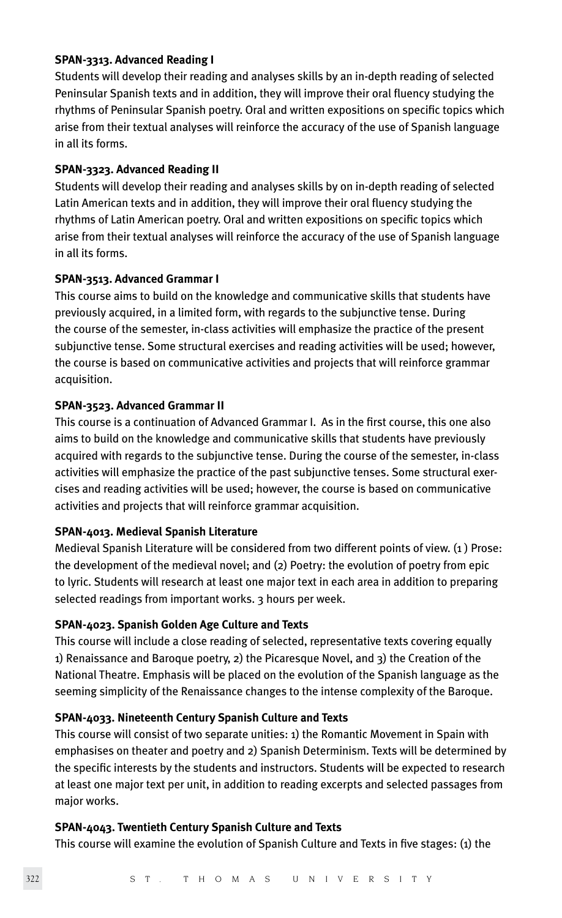#### **SPAN-3313. Advanced Reading I**

Students will develop their reading and analyses skills by an in-depth reading of selected Peninsular Spanish texts and in addition, they will improve their oral fluency studying the rhythms of Peninsular Spanish poetry. Oral and written expositions on specific topics which arise from their textual analyses will reinforce the accuracy of the use of Spanish language in all its forms.

#### **SPAN-3323. Advanced Reading II**

Students will develop their reading and analyses skills by on in-depth reading of selected Latin American texts and in addition, they will improve their oral fluency studying the rhythms of Latin American poetry. Oral and written expositions on specific topics which arise from their textual analyses will reinforce the accuracy of the use of Spanish language in all its forms.

#### **SPAN-3513. Advanced Grammar I**

This course aims to build on the knowledge and communicative skills that students have previously acquired, in a limited form, with regards to the subjunctive tense. During the course of the semester, in-class activities will emphasize the practice of the present subjunctive tense. Some structural exercises and reading activities will be used; however, the course is based on communicative activities and projects that will reinforce grammar acquisition.

#### **SPAN-3523. Advanced Grammar II**

This course is a continuation of Advanced Grammar I. As in the first course, this one also aims to build on the knowledge and communicative skills that students have previously acquired with regards to the subjunctive tense. During the course of the semester, in-class activities will emphasize the practice of the past subjunctive tenses. Some structural exercises and reading activities will be used; however, the course is based on communicative activities and projects that will reinforce grammar acquisition.

#### **SPAN-4013. Medieval Spanish Literature**

Medieval Spanish Literature will be considered from two different points of view. (1 ) Prose: the development of the medieval novel; and (2) Poetry: the evolution of poetry from epic to lyric. Students will research at least one major text in each area in addition to preparing selected readings from important works. 3 hours per week.

### **SPAN-4023. Spanish Golden Age Culture and Texts**

This course will include a close reading of selected, representative texts covering equally 1) Renaissance and Baroque poetry, 2) the Picaresque Novel, and 3) the Creation of the National Theatre. Emphasis will be placed on the evolution of the Spanish language as the seeming simplicity of the Renaissance changes to the intense complexity of the Baroque.

#### **SPAN-4033. Nineteenth Century Spanish Culture and Texts**

This course will consist of two separate unities: 1) the Romantic Movement in Spain with emphasises on theater and poetry and 2) Spanish Determinism. Texts will be determined by the specific interests by the students and instructors. Students will be expected to research at least one major text per unit, in addition to reading excerpts and selected passages from major works.

#### **SPAN-4043. Twentieth Century Spanish Culture and Texts**

This course will examine the evolution of Spanish Culture and Texts in five stages: (1) the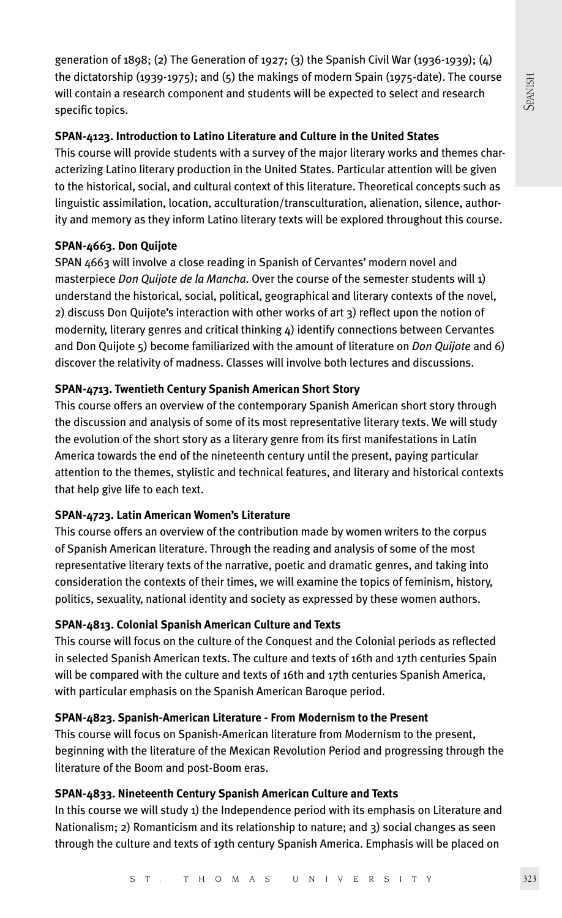generation of 1898; (2) The Generation of 1927; (3) the Spanish Civil War (1936-1939); (4) the dictatorship (1939-1975); and (5) the makings of modern Spain (1975-date). The course will contain a research component and students will be expected to select and research specific topics.

### **SPAN-4123. Introduction to Latino Literature and Culture in the United States**

This course will provide students with a survey of the major literary works and themes characterizing Latino literary production in the United States. Particular attention will be given to the historical, social, and cultural context of this literature. Theoretical concepts such as linguistic assimilation, location, acculturation/transculturation, alienation, silence, authority and memory as they inform Latino literary texts will be explored throughout this course.

# **SPAN-4663. Don Quijote**

SPAN 4663 will involve a close reading in Spanish of Cervantes' modern novel and masterpiece *Don Quijote de la Mancha*. Over the course of the semester students will 1) understand the historical, social, political, geographical and literary contexts of the novel, 2) discuss Don Quijote's interaction with other works of art 3) reflect upon the notion of modernity, literary genres and critical thinking  $4$ ) identify connections between Cervantes and Don Quijote 5) become familiarized with the amount of literature on *Don Quijote* and 6) discover the relativity of madness. Classes will involve both lectures and discussions.

# **SPAN-4713. Twentieth Century Spanish American Short Story**

This course offers an overview of the contemporary Spanish American short story through the discussion and analysis of some of its most representative literary texts. We will study the evolution of the short story as a literary genre from its first manifestations in Latin America towards the end of the nineteenth century until the present, paying particular attention to the themes, stylistic and technical features, and literary and historical contexts that help give life to each text.

# **SPAN-4723. Latin American Women's Literature**

This course offers an overview of the contribution made by women writers to the corpus of Spanish American literature. Through the reading and analysis of some of the most representative literary texts of the narrative, poetic and dramatic genres, and taking into consideration the contexts of their times, we will examine the topics of feminism, history, politics, sexuality, national identity and society as expressed by these women authors.

# **SPAN-4813. Colonial Spanish American Culture and Texts**

This course will focus on the culture of the Conquest and the Colonial periods as reflected in selected Spanish American texts. The culture and texts of 16th and 17th centuries Spain will be compared with the culture and texts of 16th and 17th centuries Spanish America, with particular emphasis on the Spanish American Baroque period.

# **SPAN-4823. Spanish-American Literature - From Modernism to the Present**

This course will focus on Spanish-American literature from Modernism to the present, beginning with the literature of the Mexican Revolution Period and progressing through the literature of the Boom and post-Boom eras.

# **SPAN-4833. Nineteenth Century Spanish American Culture and Texts**

In this course we will study 1) the Independence period with its emphasis on Literature and Nationalism; 2) Romanticism and its relationship to nature; and 3) social changes as seen through the culture and texts of 19th century Spanish America. Emphasis will be placed on